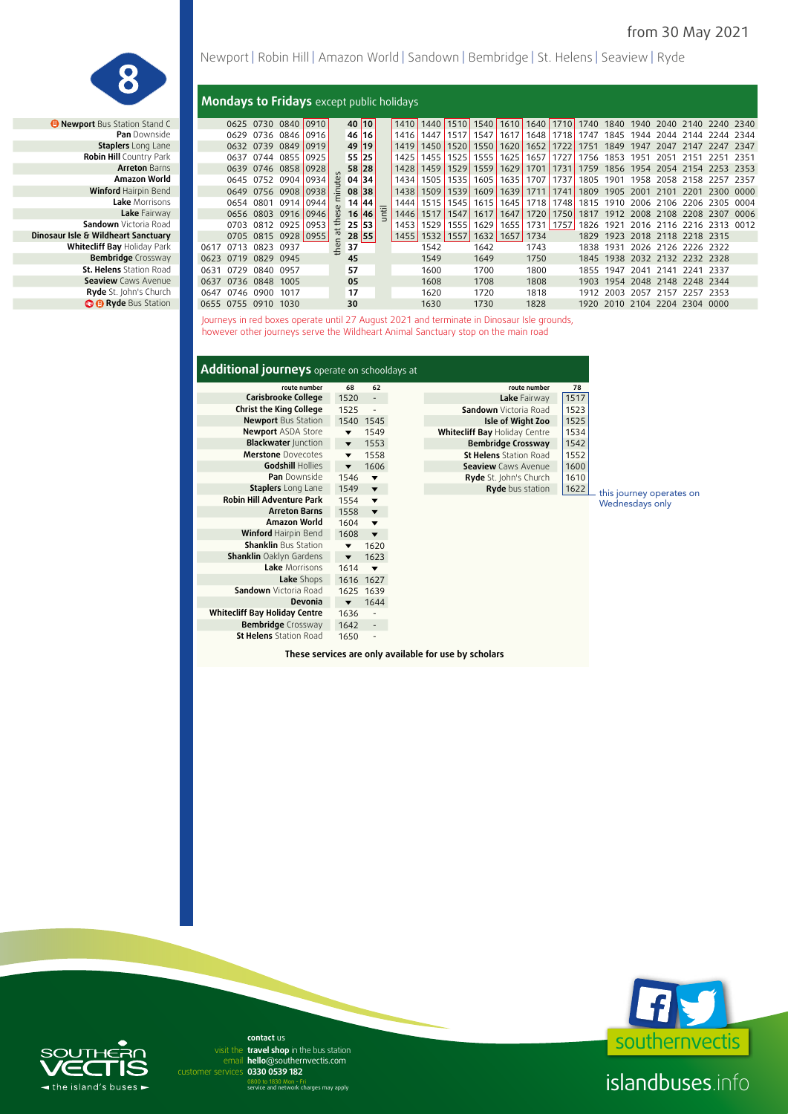this journey operates on Wednesdays only



*B* **Newport Bus Station Stand C Pan Downside Staplers** Long Lane **Robin Hill Country Park 0547 Arreton Barns Winford Hairpin Bend Sandown** Victoria Road **Dinosaur Isle & Wildheart Sanctuary St. Helens** Station Road **Seaview Caws Avenue Ryde** St. John's Church *<b>B* Ryde Bus Station

#### **Mondays to Fridays** except public holidays

| ewport Bus Station Stand C     |                |      | 0625 0730 | 0840 0910           |        |                       |    | 40 10 |   | 1410 | 1440 | 1510      | 1540 | 1610 | 1640 1710 |               | 1740 | 1840                          |           | 1940 2040 | 2140 2240 2340      |           |       |
|--------------------------------|----------------|------|-----------|---------------------|--------|-----------------------|----|-------|---|------|------|-----------|------|------|-----------|---------------|------|-------------------------------|-----------|-----------|---------------------|-----------|-------|
| <b>Pan</b> Downside            |                | 0629 | 0736      | 0846                | 0916   |                       |    | 46 16 |   | 1416 | 1447 | 1517      | 1547 | 1617 | 1648      | 1718 <b> </b> | 1747 | 1845                          | 1944      | 2044      | 2144                | 2244      | 2344  |
| <b>Staplers</b> Long Lane      |                |      | 0632 0739 | 0849                | 10919  |                       |    | 49 19 |   | 1419 | 1450 | 1520      | 1550 | 1620 | 1652      | 1722          | 1751 | 1849                          | 1947      | 2047      | 2147                | 2247      | 2347  |
| <b>Robin Hill Country Park</b> |                | 0637 | 0744      | 0855                | 10925' |                       |    | 55 25 |   | 1425 | 1455 | 1525      | 1555 | 1625 | 1657      | 1727          | 1756 | 1853                          | 1951      | 2051      | 2151                | 2251      | 2351  |
| <b>Arreton Barns</b>           |                | 0639 | 0746      | 0858                | 0928   |                       |    | 58 28 |   | 1428 | 1459 | 1529      | 1559 | 1629 | 1701      | 1731          | 1759 | 1856                          | 1954      | 2054      | 2154                | 2253      | -2353 |
| Amazon World                   |                | 0645 | 0752      | 0904                | 0934   | $\overline{\epsilon}$ |    | 04 34 |   | 1434 | 1505 | 1535      | 1605 | 1635 | 1707      | 1737          | 1805 | 1901                          | 1958      | 2058      | 2158                | 2257      | 2357  |
| Winford Hairpin Bend           |                | 0649 | 0756      | 0908                | 0938   | Ξ.                    |    | 08 38 |   | 1438 | 1509 | 1539      | 1609 | 1639 | 1711      | 1741          | 1809 | 1905                          | 2001      | 2101      | 2201                | 2300      | 0000  |
| Lake Morrisons                 |                | 0654 | 0801      | 0914 0944           |        |                       | 14 | 44    |   | 1444 | 1515 | 1545      | 1615 | 1645 | 1718      | 17481         | 1815 | 1910                          | 2006 2106 |           | 2206                | 2305      | 0004  |
| Lake Fairway                   |                |      | 0656 0803 | 0916 0946           |        | 3                     | 16 | 46    | Ë | 1446 | 1517 | 1547      | 1617 | 1647 | 1720      | 1750          | 1817 | 1912                          |           | 2008 2108 | -2208               | 2307      | 0006  |
| <b>Sandown</b> Victoria Road   |                | 0703 | 0812 0925 |                     | 0953   | ⇇                     | 25 | 53    |   | 1453 | 1529 | 1555      | 1629 | 1655 | 1731      | 1757          | 1826 | 1921                          |           |           | 2016 2116 2216      | 2313 0012 |       |
| Isle & Wildheart Sanctuary     |                |      |           | 0705 0815 0928 0955 |        | $\sigma$              |    | 28 55 |   | 1455 |      | 1532 1557 | 1632 | 1657 | 1734      |               | 1829 | 1923                          |           |           | 2018 2118 2218 2315 |           |       |
| Whitecliff Bay Holiday Park    | 0617           | 0713 | 0823      | 0937                |        | Ξ                     | 37 |       |   |      | 1542 |           | 1642 |      | 1743      |               | 1838 | 1931                          |           | 2026 2126 | 2226 2322           |           |       |
| <b>Bembridge</b> Crossway      | 0623           | 0719 | 0829      | 0945                |        |                       | 45 |       |   |      | 1549 |           | 1649 |      | 1750      |               | 1845 | 1938                          |           |           | 2032 2132 2232 2328 |           |       |
| <b>St. Helens</b> Station Road | 0631           | 0729 | 0840      | 0957                |        |                       | 57 |       |   |      | 1600 |           | 1700 |      | 1800      |               | 1855 | 1947                          | 2041      | 2141      | 2241                | 2337      |       |
| <b>Seaview</b> Caws Avenue     | 0637           |      | 0736 0848 | 1005                |        |                       | 05 |       |   |      | 1608 |           | 1708 |      | 1808      |               | 1903 | 1954                          |           |           | 2048 2148 2248 2344 |           |       |
| <b>Ryde</b> St. John's Church  | 0647           |      | 0746 0900 | 1017                |        |                       | 17 |       |   |      | 1620 |           | 1720 |      | 1818      |               | 1912 | 2003                          | 2057      | 2157      | 2257                | 2353      |       |
| <b>O</b> Ryde Bus Station      | 0655 0755 0910 |      |           | 1030                |        |                       | 30 |       |   |      | 1630 |           | 1730 |      | 1828      |               |      | 1920 2010 2104 2204 2304 0000 |           |           |                     |           |       |
|                                |                |      |           |                     |        |                       |    |       |   |      |      |           |      |      |           |               |      |                               |           |           |                     |           |       |

Journeys in red boxes operate until 27 August 2021 and terminate in Dinosaur Isle grounds, however other journeys serve the Wildheart Animal Sanctuary stop on the main road

| Additional journeys operate on schooldays at |                         |                         |                               |      |
|----------------------------------------------|-------------------------|-------------------------|-------------------------------|------|
| route number                                 | 68                      | 62                      | route number                  |      |
| Carisbrooke College                          | 1520                    | $\overline{a}$          | Lake Fairway                  | 1517 |
| <b>Christ the King College</b>               | 1525                    | $\overline{a}$          | Sandown Victoria Road         | 1523 |
| <b>Newport Bus Station</b>                   |                         | 1540 1545               | Isle of Wight Zoo             | 1525 |
| <b>Newport ASDA Store</b>                    | $\blacktriangledown$    | 1549                    | Whitecliff Bay Holiday Centre | 1534 |
| <b>Blackwater Junction</b>                   | $\overline{\mathbf{v}}$ | 1553                    | <b>Bembridge Crossway</b>     | 1542 |
| <b>Merstone</b> Dovecotes                    | $\overline{\mathbf{v}}$ | 1558                    | <b>St Helens</b> Station Road | 1552 |
| Godshill Hollies                             |                         | 1606                    | <b>Seaview</b> Caws Avenue    | 1600 |
| Pan Downside                                 | 1546                    | ▼                       | Ryde St. John's Church        | 1610 |
| <b>Staplers</b> Long Lane                    | 1549                    | $\blacktriangledown$    | Ryde bus station              | 1622 |
| <b>Robin Hill Adventure Park</b>             | 1554                    | $\blacktriangledown$    |                               |      |
| <b>Arreton Barns</b>                         | 1558                    | $\blacktriangledown$    |                               |      |
| Amazon World                                 | 1604                    | $\blacktriangledown$    |                               |      |
| Winford Hairpin Bend                         | 1608                    | $\overline{\mathbf{v}}$ |                               |      |
| <b>Shanklin Bus Station</b>                  | ▼                       | 1620                    |                               |      |
| <b>Shanklin</b> Oaklyn Gardens               | ▼                       | 1623                    |                               |      |
| Lake Morrisons                               | 1614                    | ▼                       |                               |      |
| Lake Shops                                   |                         | 1616 1627               |                               |      |
| Sandown Victoria Road                        |                         | 1625 1639               |                               |      |
| Devonia                                      | ▼                       | 1644                    |                               |      |
| <b>Whitecliff Bay Holiday Centre</b>         | 1636                    |                         |                               |      |
| <b>Bembridge</b> Crossway                    | 1642                    |                         |                               |      |
| <b>St Helens</b> Station Road                | 1650                    |                         |                               |      |

**These services are only available for use by scholars**



## islandbuses.info



email hello@southernvectis.com **0330 0539 182** customer services **contact** us visit the travel shop in the bus station

0800 to 1830 Mon - Fri service and network charges may apply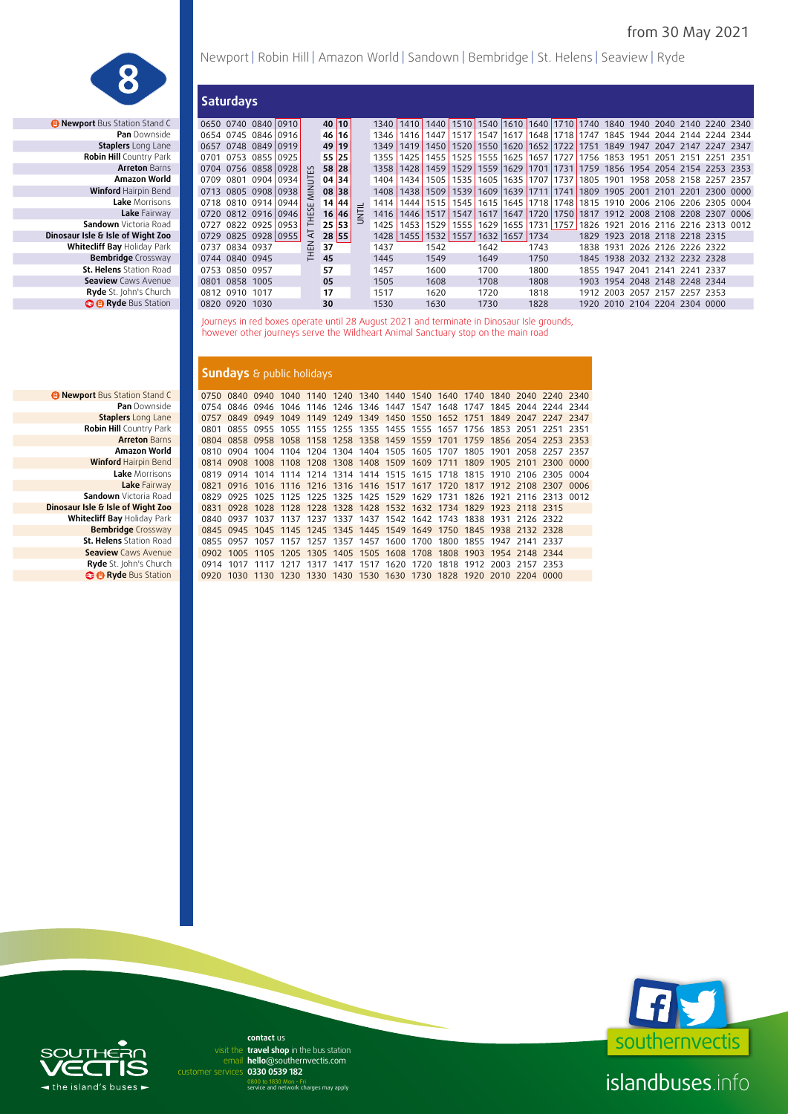

*B* Newport Bus Station Stand C **Staplers** Long Lane **Robin Hill Country Park <b>Robin Hill Country** Park **Dinosaur Isle & Isle of Wight Zoo Whitecliff Bay Holiday Park Bembridge** Crossway **St. Helens** Station Road **Seaview Caws Avenue Ryde** St. John's Church **B B** Ryde Bus Station

Newport | Robin Hill | Amazon World | Sandown | Bembridge | St. Helens | Seaview | Ryde

|                                 |      | <b>Saturdays</b>    |                     |            |         |   |      |           |        |      |                                                                  |                          |                |                          |      |      |                |           |                               |                               |       |
|---------------------------------|------|---------------------|---------------------|------------|---------|---|------|-----------|--------|------|------------------------------------------------------------------|--------------------------|----------------|--------------------------|------|------|----------------|-----------|-------------------------------|-------------------------------|-------|
| <b>ort</b> Bus Station Stand C  |      |                     | 0650 0740 0840 0910 |            | 40 10   |   | 1340 | 1410      |        |      | 1440 1510 1540 1610 1640 1710 1740 1840 1940 2040 2140 2240 2340 |                          |                |                          |      |      |                |           |                               |                               |       |
| <b>Pan</b> Downside             |      |                     | 0654 0745 0846 0916 |            | 46 16   |   | 1346 | 1416      | 1447   | 1517 | 1547                                                             |                          |                | 1617 1648 1718 1747      |      | 1845 | 1944           | 2044      | 2144                          | 2244                          | 2344  |
| <b>Staplers</b> Long Lane       |      |                     | 0657 0748 0849 0919 |            | 49 19   |   | 1349 | 1419      | 1450   | 1520 | 1550                                                             | 1620 1652 1722 1751 1849 |                |                          |      |      | 1947           | 2047 2147 |                               | 2247 2347                     |       |
| <b>Robin Hill Country Park</b>  | 0701 | 0753 0855 0925      |                     |            | 55 25   |   | 1355 | 1425      | 1455   | 1525 | 1555                                                             |                          | 1625 1657      | 1727 1756 1853           |      |      | 1951           | 2051      | 2151                          | 2251 2351                     |       |
| <b>Arreton Barns</b>            | 0704 |                     | 0756 0858 0928      | Υ'n        | 58 28   |   | 1358 | 1428      | 1459   | 1529 | 1559                                                             | 1629                     | 1701 1731      |                          | 1759 | 1856 | 1954 2054 2154 |           |                               | 2253 2353                     |       |
| Amazon World                    | 0709 | 0801                | 0904 0934           | 5          | 04 34   |   | 1404 | 1434      | 1505   | 1535 | 1605                                                             |                          |                | 1635 1707 1737 1805      |      | 1901 |                |           |                               | 1958 2058 2158 2257 2357      |       |
| Winford Hairpin Bend            | 0713 |                     | 0805 0908 0938      | $\leq$     | 08 38   |   | 1408 | 1438      | 1509   | 1539 | 1609                                                             |                          | 1639 1711 1741 |                          | 1809 | 1905 | 2001           | 2101      | -2201                         | 2300                          | -0000 |
| Lake Morrisons                  |      | 0718 0810 0914 0944 |                     | ш          | 14   44 |   | 1414 | 1444      | 1515 L | 1545 | 1615                                                             |                          |                | 1645 1718 1748 1815 1910 |      |      |                |           |                               | 2006 2106 2206 2305 0004      |       |
| Lake Fairway                    |      |                     | 0720 0812 0916 0946 | έş         | 16 46   | E | 1416 | 1446      | 1517   | 1547 | 1617                                                             | 1647                     |                | 1720 1750 1817           |      |      |                |           |                               | 1912 2008 2108 2208 2307 0006 |       |
| Sandown Victoria Road           | 0727 | 0822 0925 0953      |                     | ᆮ          | 25 53   |   | 1425 | 1453      | 1529   | 1555 | 1629                                                             |                          | 1655 1731 1757 |                          | 1826 | 1921 |                |           |                               | 2016 2116 2216 2313 0012      |       |
| Isle & Isle of Wight Zoo        | 0729 | 0825 0928 0955      |                     | ₹.         | 28 55   |   |      | 1428 1455 | 1532   | 1557 | 1632 1657                                                        |                          | 1734           |                          | 1829 | 1923 |                |           | 2018 2118 2218 2315           |                               |       |
| <b>tecliff Bay</b> Holiday Park | 0737 | 0834 0937           |                     | <b>HEN</b> | 37      |   | 1437 |           | 1542   |      | 1642                                                             |                          | 1743           |                          | 1838 | 1931 |                |           | 2026 2126 2226 2322           |                               |       |
| <b>Bembridge</b> Crossway       | 0744 | 0840 0945           |                     |            | 45      |   | 1445 |           | 1549   |      | 1649                                                             |                          | 1750           |                          | 1845 |      |                |           | 1938 2032 2132 2232 2328      |                               |       |
| <b>St. Helens</b> Station Road  | 0753 | 0850 0957           |                     |            | 57      |   | 1457 |           | 1600   |      | 1700                                                             |                          | 1800           |                          | 1855 | 1947 | 2041           | 2141      | 2241 2337                     |                               |       |
| <b>Seaview</b> Caws Avenue      | 0801 | 0858 1005           |                     |            | 05      |   | 1505 |           | 1608   |      | 1708                                                             |                          | 1808           |                          | 1903 |      |                |           | 1954 2048 2148 2248 2344      |                               |       |
| <b>Ryde</b> St. John's Church   | 0812 | 0910 1017           |                     |            | 17      |   | 1517 |           | 1620   |      | 1720                                                             |                          | 1818           |                          | 1912 |      |                |           | 2003 2057 2157 2257 2353      |                               |       |
| <b>B Ryde</b> Bus Station       |      | 0820 0920 1030      |                     |            | 30      |   | 1530 |           | 1630   |      | 1730                                                             |                          | 1828           |                          |      |      |                |           | 1920 2010 2104 2204 2304 0000 |                               |       |
|                                 |      |                     |                     |            |         |   |      |           |        |      |                                                                  |                          |                |                          |      |      |                |           |                               |                               |       |

Journeys in red boxes operate until 28 August 2021 and terminate in Dinosaur Isle grounds, however other journeys serve the Wildheart Animal Sanctuary stop on the main road

#### **Sundays** & public holidays

**B Newport Bus Station Stand C 0750 0840 0940 1040 1140 1240 1340 1440 1540 1640 1740 1840 2040 2240 2340 Pan** Downside 0754 0846 0946 1046 1146 1246 1346 1447 1547 1648 1747 1845 2044 2244 2344 **Staplers** Long Lane 0757 0849 0949 1049 1149 1249 1349 1450 1550 1652 1751 1849 2047 2247 2347 **Robin Hill** Country Park 0801 0855 0955 1055 1155 1255 1355 1455 1555 1657 1756 1853 2051 2251 2351 **Arreton** Barns 0804 0858 0958 1058 1158 1258 1358 1459 1559 1701 1759 1856 2054 2253 2353 **Amazon World** 0810 0904 1004 1104 1204 1304 1404 1505 1605 1707 1805 1901 2058 2257 2357<br>Winford Hairpin Bend 0814 0908 1008 1108 1208 1308 1408 1509 1609 1711 1809 1905 2101 2300 0000 **Winford** Hairpin Bend 0814 0908 1008 1108 1208 1308 1408 1509 1609 1711 1809 1905 2101 2300 0000 **Lake** Morrisons 0819 0914 1014 1114 1214 1314 1414 1515 1615 1718 1815 1910 2106 2305 0004 **Lake Fairway 18821 0916 1016 1116 1216 1316 1416 1517 1617 1720 1817 1912 2108 2307 0006<br>1 Victoria Road 18829 0925 1025 1125 1225 1325 1425 1529 1629 1731 1826 1921 2116 2313 0012 Dinosaur Isle & Isle of Wight Zoo** 0831 0928 1028 1128 1228 1328 1428 1532 1632 1734 1829 1923 2118 2315<br>137 1838 1931 2126 2322 0840 0937 1037 1137 1237 1337 1437 1542 1642 1743 1838 1931 2126 2322 **Whitecliff Bay** Holiday Park 0840 0937 1037 1137 1237 1337 1437 1542 1642 1743 1838 1931 2126 2322 **Bembridge** Crossway 0845 0945 1045 1145 1245 1345 1445 1549 1649 1750 1845 1938 2132 2328 **St. Helens** Station Road **0855 0957 1057 1157 1257 1357 1457 1600 1700 1800 1855 1947 2141 2337 1954 2337 1954 2148 2344 Seaview** Caws Avenue 0902 1005 1105 1205 1305 1405 1505 1608 1708 1808 1903 1954 2148 2344 **Ryde** St. John's Church 0914 1017 1117 1217 1317 1417 1517 1620 1720 1818 1912 2003 2157 2353<br>● Ryde Bus Station 0920 1030 1130 1230 1330 1430 1530 1630 1730 1828 1920 2010 2204 0000  **Ryde** Bus Station 0920 1030 1130 1230 1330 1430 1530 1630 1730 1828 1920 2010 2204 0000

**Sandown** Victoria Road



## islandbuses.info



email hello@southernvectis.com **0330 0539 182** customer services **contact** us visit the travel shop in the bus station

0800 to 1830 Mon - Fri service and network charges may apply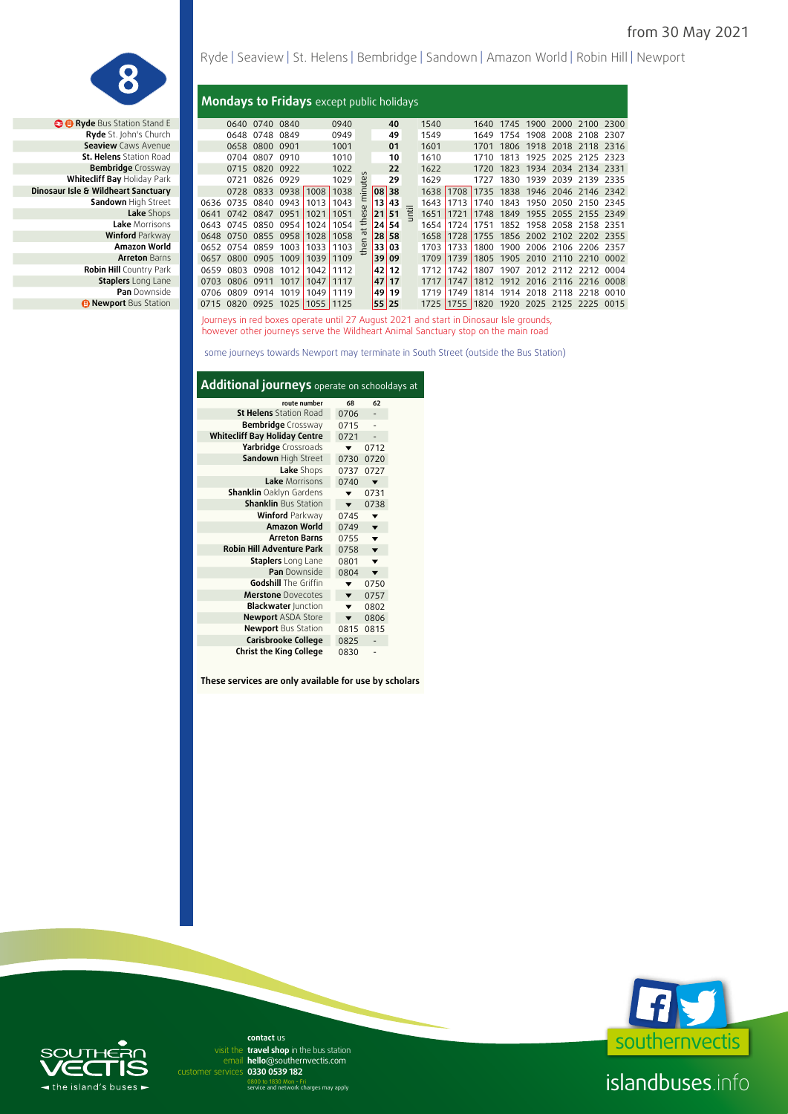

**<sup>@</sup> @ Ryde** Bus Station Stand E **St. Helens** Station Road **Bembridge** Crossway **Sandown High Street Lake Shops Lake** Morrisons **Winford Parkway<br><b>Amazon World Arreton Barns Robin Hill Country Park Staplers** Long Lane **Pan** Downside *<b>B* Newport Bus Station

|  | Ryde   Seaview   St. Helens   Bembridge   Sandown   Amazon World   Robin Hill   Newport |
|--|-----------------------------------------------------------------------------------------|
|--|-----------------------------------------------------------------------------------------|

#### **Mondays to Fridays** except public holidays

| <b>O</b> Ryde Bus Station Stand E   |      | 0640 | 0740 0840      |           |      | 0940 |                      |       | 40    |   | 1540   |      | 1640 | 1745 | 1900 | 2000                          | 2100 | 2300 |
|-------------------------------------|------|------|----------------|-----------|------|------|----------------------|-------|-------|---|--------|------|------|------|------|-------------------------------|------|------|
| Ryde St. John's Church              |      | 0648 | 0748           | 0849      |      | 0949 |                      |       | 49    |   | 1549   |      | 1649 | 1754 | 1908 | 2008                          | 2108 | 2307 |
| <b>Seaview Caws Avenue</b>          |      | 0658 | 0800           | 0901      |      | 1001 |                      |       | 01    |   | 1601   |      | 1701 | 1806 | 1918 | 2018 2118                     |      | 2316 |
| <b>St. Helens</b> Station Road      |      | 0704 | 0807           | 0910      |      | 1010 |                      |       | 10    |   | 1610   |      | 1710 | 1813 | 1925 | 2025 2125                     |      | 2323 |
| <b>Bembridge</b> Crossway           |      | 0715 | 0820           | 0922      |      | 1022 |                      |       | 22    |   | 1622   |      | 1720 | 1823 | 1934 | 2034 2134                     |      | 2331 |
| Whitecliff Bay Holiday Park         |      | 0721 | 0826           | 0929      |      | 1029 | $\tilde{\mathbb{F}}$ |       | 29    |   | 1629   |      | 1727 | 1830 | 1939 | 2039                          | 2139 | 2335 |
| Dinosaur Isle & Wildheart Sanctuary |      |      | 0728 0833 0938 |           | 1008 | 1038 | 르                    | 08 38 |       |   | 1638   | 1708 | 1735 | 1838 |      | 1946 2046 2146 2342           |      |      |
| Sandown High Street                 | 0636 | 0735 |                | 0840 0943 | 1013 | 1043 | Ε                    |       | 13 43 |   | 1643   | 1713 | 1740 | 1843 | 1950 | 2050 2150 2345                |      |      |
| Lake Shops                          | 0641 | 0742 | 0847           | 0951      | 1021 | 1051 | ಐ                    |       | 2151  | Ë | 1651   | 1721 | 1748 | 1849 | 1955 | 2055 2155 2349                |      |      |
| Lake Morrisons                      | 0643 | 0745 | 0850           | 0954      | 1024 | 1054 | €                    |       | 24 54 |   | 1654   | 1724 | 1751 | 1852 | 1958 | 2058                          | 2158 | 2351 |
| <b>Winford Parkway</b>              | 0648 | 0750 |                | 0855 0958 | 1028 | 1058 | $\sigma$             |       | 28 58 |   | 1658   | 1728 | 1755 | 1856 |      | 2002 2102 2202 2355           |      |      |
| Amazon World                        | 0652 | 0754 | 0859           | 1003      | 1033 | 1103 | 온                    |       | 33 03 |   | 1703   | 1733 | 1800 | 1900 |      | 2006 2106 2206                |      | 2357 |
| <b>Arreton Barns</b>                | 0657 | 0800 | 0905           | 1009      | 1039 | 1109 |                      |       | 39 09 |   | 1709   | 1739 | 1805 | 1905 |      | 2010 2110 2210                |      | 0002 |
| <b>Robin Hill Country Park</b>      | 0659 | 0803 | 0908           | 1012      | 1042 | 1112 |                      |       | 42 12 |   | 1712   | 1742 | 1807 | 1907 |      | 2012 2112 2212                |      | 0004 |
| <b>Staplers</b> Long Lane           | 0703 | 0806 | 0911           | 1017      | 1047 | 1117 |                      |       | 47 17 |   | 1717   | 1747 |      |      |      | 1812 1912 2016 2116 2216 0008 |      |      |
| <b>Pan</b> Downside                 | 0706 | 0809 | 0914           | 1019      | 1049 | 1119 |                      |       | 49 19 |   | 1719   | 1749 | 1814 | 1914 |      | 2018 2118 2218                |      | 0010 |
| <b>B Newport Bus Station</b>        | 0715 | 0820 | 0925           | 1025      | 1055 | 1125 |                      | 55 25 |       |   | 1725 L | 1755 | 1820 | 1920 |      | 2025 2125 2225                |      | 0015 |
|                                     |      |      |                |           |      |      |                      |       |       |   |        |      |      |      |      |                               |      |      |

Journeys in red boxes operate until 27 August 2021 and start in Dinosaur Isle grounds, however other journeys serve the Wildheart Animal Sanctuary stop on the main road

some journeys towards Newport may terminate in South Street (outside the Bus Station)

### **Additional journeys** operate on schooldays at

| route number                         | 68                      | 62                      |
|--------------------------------------|-------------------------|-------------------------|
| <b>St Helens</b> Station Road        | 0706                    |                         |
| <b>Bembridge</b> Crossway            | 0715                    |                         |
| <b>Whitecliff Bay Holiday Centre</b> | 0721                    |                         |
| Yarbridge Crossroads                 |                         | 0712                    |
| Sandown High Street                  | 0730                    | 0720                    |
| Lake Shops                           | 0737                    | 0727                    |
| Lake Morrisons                       | 0740                    |                         |
| <b>Shanklin</b> Oaklyn Gardens       |                         | 0731                    |
| <b>Shanklin</b> Bus Station          | $\overline{\mathbf{v}}$ | 0738                    |
| <b>Winford Parkway</b>               | 0745                    |                         |
| <b>Amazon World</b>                  | 0749                    |                         |
| <b>Arreton Barns</b>                 | 0755                    |                         |
| <b>Robin Hill Adventure Park</b>     | 0758                    |                         |
| <b>Staplers</b> Long Lane            | 0801                    |                         |
| Pan Downside                         | 0804                    | $\overline{\mathbf{v}}$ |
| <b>Godshill</b> The Griffin          | ▼                       | 0750                    |
| <b>Merstone</b> Dovecotes            |                         | 0757                    |
| <b>Blackwater Junction</b>           |                         | 0802                    |
| <b>Newport ASDA Store</b>            |                         | 0806                    |
| <b>Newport Bus Station</b>           | 0815                    | 0815                    |
| Carisbrooke College                  | 0825                    |                         |
| <b>Christ the King College</b>       | 0830                    |                         |

**These services are only available for use by scholars**



# $\blacktriangleleft$  the island's buses  $\blacktriangleright$

email hello@southernvectis.com **0330 0539 182** customer services **contact** us visit the travel shop in the bus station

0800 to 1830 Mon - Fri service and network charges may apply

islandbuses.info